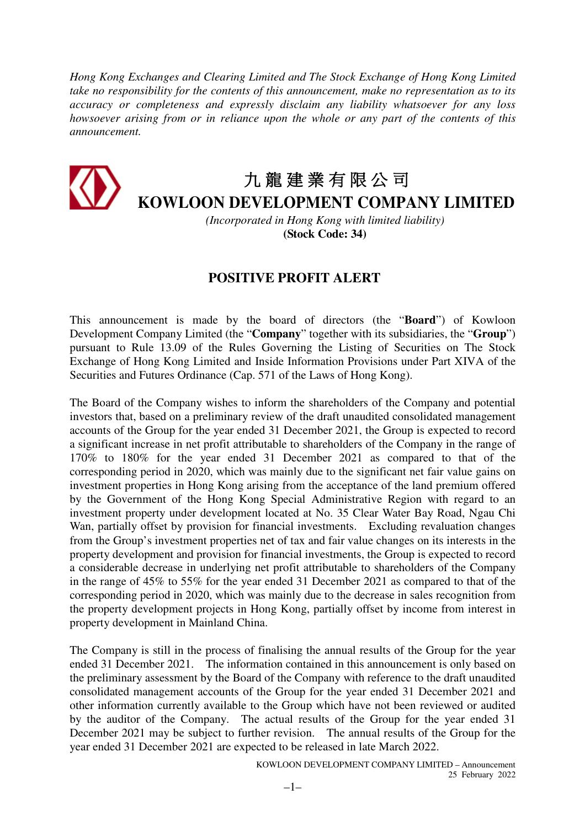*Hong Kong Exchanges and Clearing Limited and The Stock Exchange of Hong Kong Limited take no responsibility for the contents of this announcement, make no representation as to its accuracy or completeness and expressly disclaim any liability whatsoever for any loss howsoever arising from or in reliance upon the whole or any part of the contents of this announcement.* 



## 九 龍 建 業 有 限 公 司

**KOWLOON DEVELOPMENT COMPANY LIMITED**

*(Incorporated in Hong Kong with limited liability)*  **(Stock Code: 34)**

## **POSITIVE PROFIT ALERT**

This announcement is made by the board of directors (the "**Board**") of Kowloon Development Company Limited (the "**Company**" together with its subsidiaries, the "**Group**") pursuant to Rule 13.09 of the Rules Governing the Listing of Securities on The Stock Exchange of Hong Kong Limited and Inside Information Provisions under Part XIVA of the Securities and Futures Ordinance (Cap. 571 of the Laws of Hong Kong).

The Board of the Company wishes to inform the shareholders of the Company and potential investors that, based on a preliminary review of the draft unaudited consolidated management accounts of the Group for the year ended 31 December 2021, the Group is expected to record a significant increase in net profit attributable to shareholders of the Company in the range of 170% to 180% for the year ended 31 December 2021 as compared to that of the corresponding period in 2020, which was mainly due to the significant net fair value gains on investment properties in Hong Kong arising from the acceptance of the land premium offered by the Government of the Hong Kong Special Administrative Region with regard to an investment property under development located at No. 35 Clear Water Bay Road, Ngau Chi Wan, partially offset by provision for financial investments. Excluding revaluation changes from the Group's investment properties net of tax and fair value changes on its interests in the property development and provision for financial investments, the Group is expected to record a considerable decrease in underlying net profit attributable to shareholders of the Company in the range of 45% to 55% for the year ended 31 December 2021 as compared to that of the corresponding period in 2020, which was mainly due to the decrease in sales recognition from the property development projects in Hong Kong, partially offset by income from interest in property development in Mainland China.

The Company is still in the process of finalising the annual results of the Group for the year ended 31 December 2021. The information contained in this announcement is only based on the preliminary assessment by the Board of the Company with reference to the draft unaudited consolidated management accounts of the Group for the year ended 31 December 2021 and other information currently available to the Group which have not been reviewed or audited by the auditor of the Company. The actual results of the Group for the year ended 31 December 2021 may be subject to further revision. The annual results of the Group for the year ended 31 December 2021 are expected to be released in late March 2022.